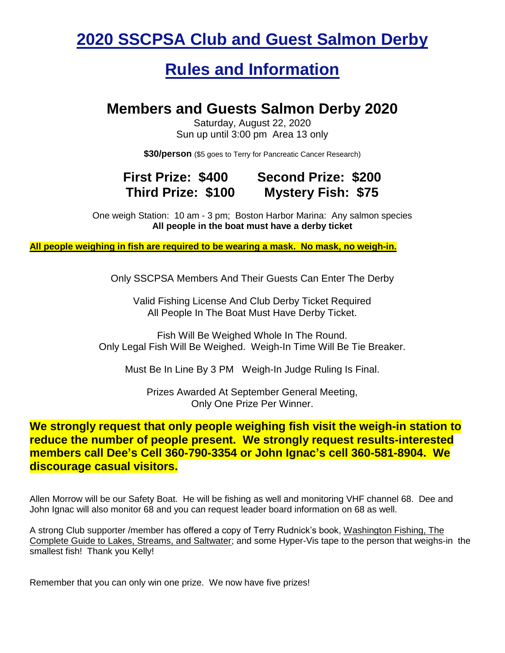### **2020 SSCPSA Club and Guest Salmon Derby**

### **Rules and Information**

#### **Members and Guests Salmon Derby 2020**

Saturday, August 22, 2020 Sun up until 3:00 pm Area 13 only

**\$30/person** (\$5 goes to Terry for Pancreatic Cancer Research)

#### **First Prize: \$400 Second Prize: \$200 Third Prize: \$100 Mystery Fish: \$75**

One weigh Station: 10 am - 3 pm; Boston Harbor Marina: Any salmon species **All people in the boat must have a derby ticket**

**All people weighing in fish are required to be wearing a mask. No mask, no weigh-in.**

Only SSCPSA Members And Their Guests Can Enter The Derby

Valid Fishing License And Club Derby Ticket Required All People In The Boat Must Have Derby Ticket.

Fish Will Be Weighed Whole In The Round. Only Legal Fish Will Be Weighed. Weigh-In Time Will Be Tie Breaker.

Must Be In Line By 3 PM Weigh-In Judge Ruling Is Final.

Prizes Awarded At September General Meeting, Only One Prize Per Winner.

**We strongly request that only people weighing fish visit the weigh-in station to reduce the number of people present. We strongly request results-interested members call Dee's Cell 360-790-3354 or John Ignac's cell 360-581-8904. We discourage casual visitors.**

Allen Morrow will be our Safety Boat. He will be fishing as well and monitoring VHF channel 68. Dee and John Ignac will also monitor 68 and you can request leader board information on 68 as well.

A strong Club supporter /member has offered a copy of Terry Rudnick's book, Washington Fishing, The Complete Guide to Lakes, Streams, and Saltwater; and some Hyper-Vis tape to the person that weighs-in the smallest fish! Thank you Kelly!

Remember that you can only win one prize. We now have five prizes!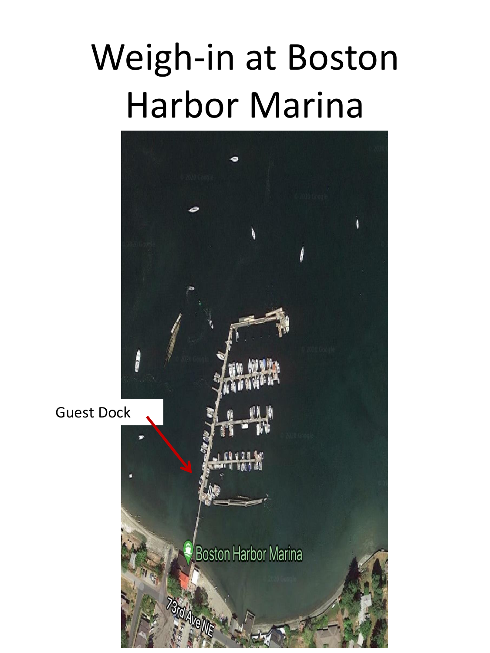# Weigh-in at Boston Harbor Marina



Guest Dock